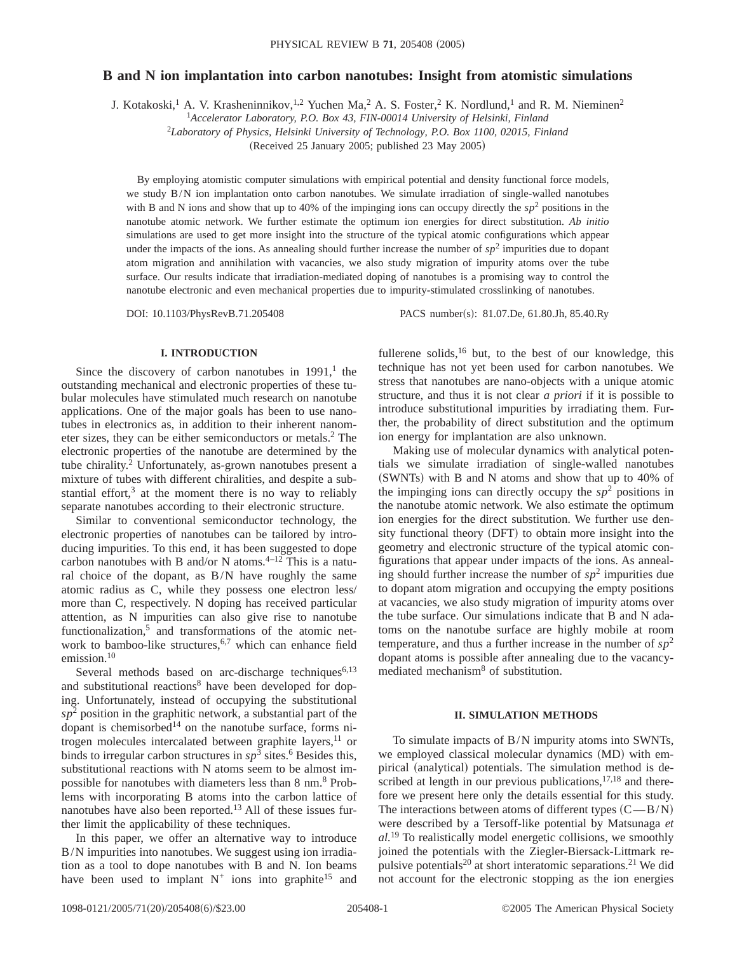# **B and N ion implantation into carbon nanotubes: Insight from atomistic simulations**

J. Kotakoski,<sup>1</sup> A. V. Krasheninnikov,<sup>1,2</sup> Yuchen Ma,<sup>2</sup> A. S. Foster,<sup>2</sup> K. Nordlund,<sup>1</sup> and R. M. Nieminen<sup>2</sup>

<sup>1</sup>*Accelerator Laboratory, P.O. Box 43, FIN-00014 University of Helsinki, Finland*

2 *Laboratory of Physics, Helsinki University of Technology, P.O. Box 1100, 02015, Finland*

(Received 25 January 2005; published 23 May 2005)

By employing atomistic computer simulations with empirical potential and density functional force models, we study B/N ion implantation onto carbon nanotubes. We simulate irradiation of single-walled nanotubes with B and N ions and show that up to 40% of the impinging ions can occupy directly the  $sp^2$  positions in the nanotube atomic network. We further estimate the optimum ion energies for direct substitution. *Ab initio* simulations are used to get more insight into the structure of the typical atomic configurations which appear under the impacts of the ions. As annealing should further increase the number of  $sp<sup>2</sup>$  impurities due to dopant atom migration and annihilation with vacancies, we also study migration of impurity atoms over the tube surface. Our results indicate that irradiation-mediated doping of nanotubes is a promising way to control the nanotube electronic and even mechanical properties due to impurity-stimulated crosslinking of nanotubes.

DOI: 10.1103/PhysRevB.71.205408 PACS number(s): 81.07.De, 61.80.Jh, 85.40.Ry

#### **I. INTRODUCTION**

Since the discovery of carbon nanotubes in  $1991<sup>1</sup>$ , the outstanding mechanical and electronic properties of these tubular molecules have stimulated much research on nanotube applications. One of the major goals has been to use nanotubes in electronics as, in addition to their inherent nanometer sizes, they can be either semiconductors or metals.<sup>2</sup> The electronic properties of the nanotube are determined by the tube chirality.2 Unfortunately, as-grown nanotubes present a mixture of tubes with different chiralities, and despite a substantial effort, $3$  at the moment there is no way to reliably separate nanotubes according to their electronic structure.

Similar to conventional semiconductor technology, the electronic properties of nanotubes can be tailored by introducing impurities. To this end, it has been suggested to dope carbon nanotubes with B and/or N atoms. $4-12$  This is a natural choice of the dopant, as  $B/N$  have roughly the same atomic radius as C, while they possess one electron less/ more than C, respectively. N doping has received particular attention, as N impurities can also give rise to nanotube functionalization, $5$  and transformations of the atomic network to bamboo-like structures,  $6.7$  which can enhance field emission.<sup>10</sup>

Several methods based on arc-discharge techniques $6,13$ and substitutional reactions<sup>8</sup> have been developed for doping. Unfortunately, instead of occupying the substitutional  $sp<sup>2</sup>$  position in the graphitic network, a substantial part of the dopant is chemisorbed<sup>14</sup> on the nanotube surface, forms nitrogen molecules intercalated between graphite layers, $11$  or binds to irregular carbon structures in  $sp^3$  sites.<sup>6</sup> Besides this, substitutional reactions with N atoms seem to be almost impossible for nanotubes with diameters less than 8 nm.8 Problems with incorporating B atoms into the carbon lattice of nanotubes have also been reported.<sup>13</sup> All of these issues further limit the applicability of these techniques.

In this paper, we offer an alternative way to introduce B/N impurities into nanotubes. We suggest using ion irradiation as a tool to dope nanotubes with B and N. Ion beams have been used to implant  $N^+$  ions into graphite<sup>15</sup> and fullerene solids,  $16$  but, to the best of our knowledge, this technique has not yet been used for carbon nanotubes. We stress that nanotubes are nano-objects with a unique atomic structure, and thus it is not clear *a priori* if it is possible to introduce substitutional impurities by irradiating them. Further, the probability of direct substitution and the optimum ion energy for implantation are also unknown.

Making use of molecular dynamics with analytical potentials we simulate irradiation of single-walled nanotubes  $(SWNTs)$  with B and N atoms and show that up to 40% of the impinging ions can directly occupy the  $sp^2$  positions in the nanotube atomic network. We also estimate the optimum ion energies for the direct substitution. We further use density functional theory (DFT) to obtain more insight into the geometry and electronic structure of the typical atomic configurations that appear under impacts of the ions. As annealing should further increase the number of  $sp<sup>2</sup>$  impurities due to dopant atom migration and occupying the empty positions at vacancies, we also study migration of impurity atoms over the tube surface. Our simulations indicate that B and N adatoms on the nanotube surface are highly mobile at room temperature, and thus a further increase in the number of  $sp^2$ dopant atoms is possible after annealing due to the vacancymediated mechanism<sup>8</sup> of substitution.

### **II. SIMULATION METHODS**

To simulate impacts of B/N impurity atoms into SWNTs, we employed classical molecular dynamics (MD) with empirical (analytical) potentials. The simulation method is described at length in our previous publications, $17,18$  and therefore we present here only the details essential for this study. The interactions between atoms of different types  $(C - B/N)$ were described by a Tersoff-like potential by Matsunaga *et al.*<sup>19</sup> To realistically model energetic collisions, we smoothly joined the potentials with the Ziegler-Biersack-Littmark repulsive potentials<sup>20</sup> at short interatomic separations.<sup>21</sup> We did not account for the electronic stopping as the ion energies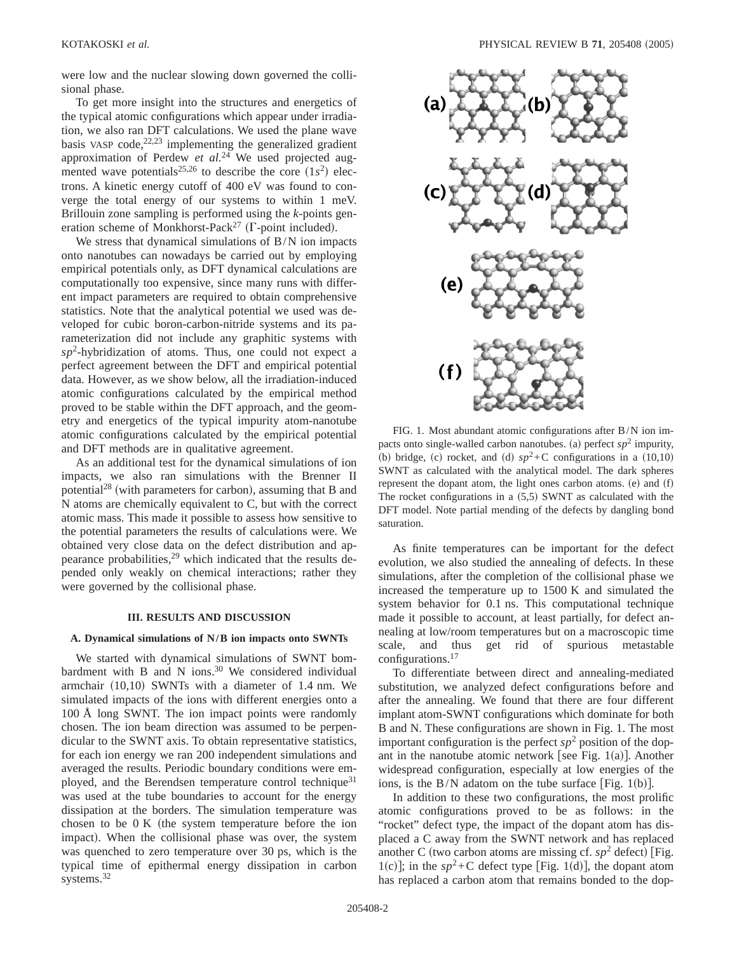were low and the nuclear slowing down governed the collisional phase.

To get more insight into the structures and energetics of the typical atomic configurations which appear under irradiation, we also ran DFT calculations. We used the plane wave basis VASP code, $22,23$  implementing the generalized gradient approximation of Perdew *et al.*<sup>24</sup> We used projected augmented wave potentials<sup>25,26</sup> to describe the core  $(1s^2)$  electrons. A kinetic energy cutoff of 400 eV was found to converge the total energy of our systems to within 1 meV. Brillouin zone sampling is performed using the *k*-points generation scheme of Monkhorst-Pack<sup>27</sup> ( $\Gamma$ -point included).

We stress that dynamical simulations of B/N ion impacts onto nanotubes can nowadays be carried out by employing empirical potentials only, as DFT dynamical calculations are computationally too expensive, since many runs with different impact parameters are required to obtain comprehensive statistics. Note that the analytical potential we used was developed for cubic boron-carbon-nitride systems and its parameterization did not include any graphitic systems with  $sp<sup>2</sup>$ -hybridization of atoms. Thus, one could not expect a perfect agreement between the DFT and empirical potential data. However, as we show below, all the irradiation-induced atomic configurations calculated by the empirical method proved to be stable within the DFT approach, and the geometry and energetics of the typical impurity atom-nanotube atomic configurations calculated by the empirical potential and DFT methods are in qualitative agreement.

As an additional test for the dynamical simulations of ion impacts, we also ran simulations with the Brenner II potential<sup>28</sup> (with parameters for carbon), assuming that B and N atoms are chemically equivalent to C, but with the correct atomic mass. This made it possible to assess how sensitive to the potential parameters the results of calculations were. We obtained very close data on the defect distribution and appearance probabilities,<sup>29</sup> which indicated that the results depended only weakly on chemical interactions; rather they were governed by the collisional phase.

### **III. RESULTS AND DISCUSSION**

#### **A. Dynamical simulations of N/B ion impacts onto SWNTs**

We started with dynamical simulations of SWNT bombardment with B and N ions.<sup>30</sup> We considered individual armchair  $(10,10)$  SWNTs with a diameter of 1.4 nm. We simulated impacts of the ions with different energies onto a 100 Å long SWNT. The ion impact points were randomly chosen. The ion beam direction was assumed to be perpendicular to the SWNT axis. To obtain representative statistics, for each ion energy we ran 200 independent simulations and averaged the results. Periodic boundary conditions were employed, and the Berendsen temperature control technique<sup>31</sup> was used at the tube boundaries to account for the energy dissipation at the borders. The simulation temperature was chosen to be  $0 K$  (the system temperature before the ion impact). When the collisional phase was over, the system was quenched to zero temperature over 30 ps, which is the typical time of epithermal energy dissipation in carbon systems.<sup>32</sup>



FIG. 1. Most abundant atomic configurations after B/N ion impacts onto single-walled carbon nanotubes. (a) perfect  $sp^2$  impurity, (b) bridge, (c) rocket, and (d)  $sp^2+C$  configurations in a (10,10) SWNT as calculated with the analytical model. The dark spheres represent the dopant atom, the light ones carbon atoms.  $(e)$  and  $(f)$ The rocket configurations in a  $(5,5)$  SWNT as calculated with the DFT model. Note partial mending of the defects by dangling bond saturation.

As finite temperatures can be important for the defect evolution, we also studied the annealing of defects. In these simulations, after the completion of the collisional phase we increased the temperature up to 1500 K and simulated the system behavior for 0.1 ns. This computational technique made it possible to account, at least partially, for defect annealing at low/room temperatures but on a macroscopic time scale, and thus get rid of spurious metastable configurations.17

To differentiate between direct and annealing-mediated substitution, we analyzed defect configurations before and after the annealing. We found that there are four different implant atom-SWNT configurations which dominate for both B and N. These configurations are shown in Fig. 1. The most important configuration is the perfect  $sp^2$  position of the dopant in the nanotube atomic network [see Fig. 1(a)]. Another widespread configuration, especially at low energies of the ions, is the B/N adatom on the tube surface [Fig. 1(b)].

In addition to these two configurations, the most prolific atomic configurations proved to be as follows: in the "rocket" defect type, the impact of the dopant atom has displaced a C away from the SWNT network and has replaced another C (two carbon atoms are missing cf.  $sp^2$  defect) [Fig. 1(c)]; in the  $sp^2+C$  defect type [Fig. 1(d)], the dopant atom has replaced a carbon atom that remains bonded to the dop-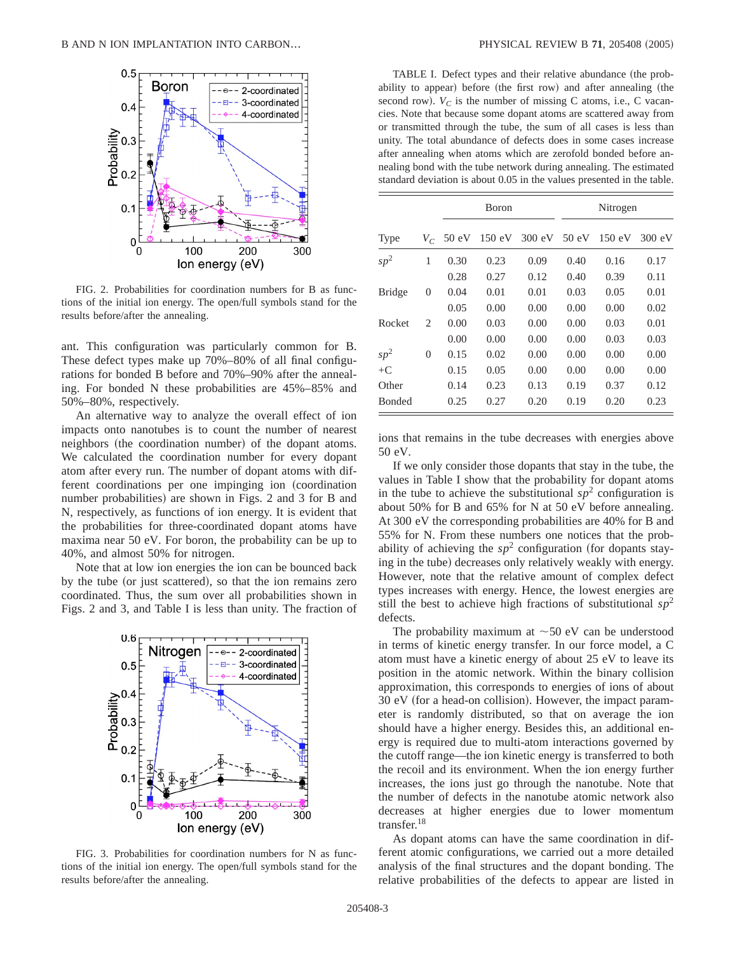

FIG. 2. Probabilities for coordination numbers for B as functions of the initial ion energy. The open/full symbols stand for the results before/after the annealing.

ant. This configuration was particularly common for B. These defect types make up 70%–80% of all final configurations for bonded B before and 70%–90% after the annealing. For bonded N these probabilities are 45%–85% and 50%–80%, respectively.

An alternative way to analyze the overall effect of ion impacts onto nanotubes is to count the number of nearest neighbors (the coordination number) of the dopant atoms. We calculated the coordination number for every dopant atom after every run. The number of dopant atoms with different coordinations per one impinging ion (coordination number probabilities) are shown in Figs. 2 and 3 for B and N, respectively, as functions of ion energy. It is evident that the probabilities for three-coordinated dopant atoms have maxima near 50 eV. For boron, the probability can be up to 40%, and almost 50% for nitrogen.

Note that at low ion energies the ion can be bounced back by the tube (or just scattered), so that the ion remains zero coordinated. Thus, the sum over all probabilities shown in Figs. 2 and 3, and Table I is less than unity. The fraction of



FIG. 3. Probabilities for coordination numbers for N as functions of the initial ion energy. The open/full symbols stand for the results before/after the annealing.

TABLE I. Defect types and their relative abundance (the probability to appear) before (the first row) and after annealing (the second row).  $V_C$  is the number of missing C atoms, i.e., C vacancies. Note that because some dopant atoms are scattered away from or transmitted through the tube, the sum of all cases is less than unity. The total abundance of defects does in some cases increase after annealing when atoms which are zerofold bonded before annealing bond with the tube network during annealing. The estimated standard deviation is about 0.05 in the values presented in the table.

|               |          | Boron |        |        | Nitrogen |        |        |
|---------------|----------|-------|--------|--------|----------|--------|--------|
| Type          | $V_C$    | 50 eV | 150 eV | 300 eV | 50 eV    | 150 eV | 300 eV |
| $sp^2$        | 1        | 0.30  | 0.23   | 0.09   | 0.40     | 0.16   | 0.17   |
|               |          | 0.28  | 0.27   | 0.12   | 0.40     | 0.39   | 0.11   |
| <b>Bridge</b> | 0        | 0.04  | 0.01   | 0.01   | 0.03     | 0.05   | 0.01   |
|               |          | 0.05  | 0.00   | 0.00   | 0.00     | 0.00   | 0.02   |
| Rocket        | 2        | 0.00  | 0.03   | 0.00   | 0.00     | 0.03   | 0.01   |
|               |          | 0.00  | 0.00   | 0.00   | 0.00     | 0.03   | 0.03   |
| $sp^2$        | $\theta$ | 0.15  | 0.02   | 0.00   | 0.00     | 0.00   | 0.00   |
| $+C$          |          | 0.15  | 0.05   | 0.00   | 0.00     | 0.00   | 0.00   |
| Other         |          | 0.14  | 0.23   | 0.13   | 0.19     | 0.37   | 0.12   |
| <b>Bonded</b> |          | 0.25  | 0.27   | 0.20   | 0.19     | 0.20   | 0.23   |

ions that remains in the tube decreases with energies above 50 eV.

If we only consider those dopants that stay in the tube, the values in Table I show that the probability for dopant atoms in the tube to achieve the substitutional  $sp<sup>2</sup>$  configuration is about 50% for B and 65% for N at 50 eV before annealing. At 300 eV the corresponding probabilities are 40% for B and 55% for N. From these numbers one notices that the probability of achieving the  $sp^2$  configuration (for dopants staying in the tube) decreases only relatively weakly with energy. However, note that the relative amount of complex defect types increases with energy. Hence, the lowest energies are still the best to achieve high fractions of substitutional  $sp^2$ defects.

The probability maximum at  $\sim$  50 eV can be understood in terms of kinetic energy transfer. In our force model, a C atom must have a kinetic energy of about 25 eV to leave its position in the atomic network. Within the binary collision approximation, this corresponds to energies of ions of about  $30$  eV (for a head-on collision). However, the impact parameter is randomly distributed, so that on average the ion should have a higher energy. Besides this, an additional energy is required due to multi-atom interactions governed by the cutoff range—the ion kinetic energy is transferred to both the recoil and its environment. When the ion energy further increases, the ions just go through the nanotube. Note that the number of defects in the nanotube atomic network also decreases at higher energies due to lower momentum transfer.<sup>18</sup>

As dopant atoms can have the same coordination in different atomic configurations, we carried out a more detailed analysis of the final structures and the dopant bonding. The relative probabilities of the defects to appear are listed in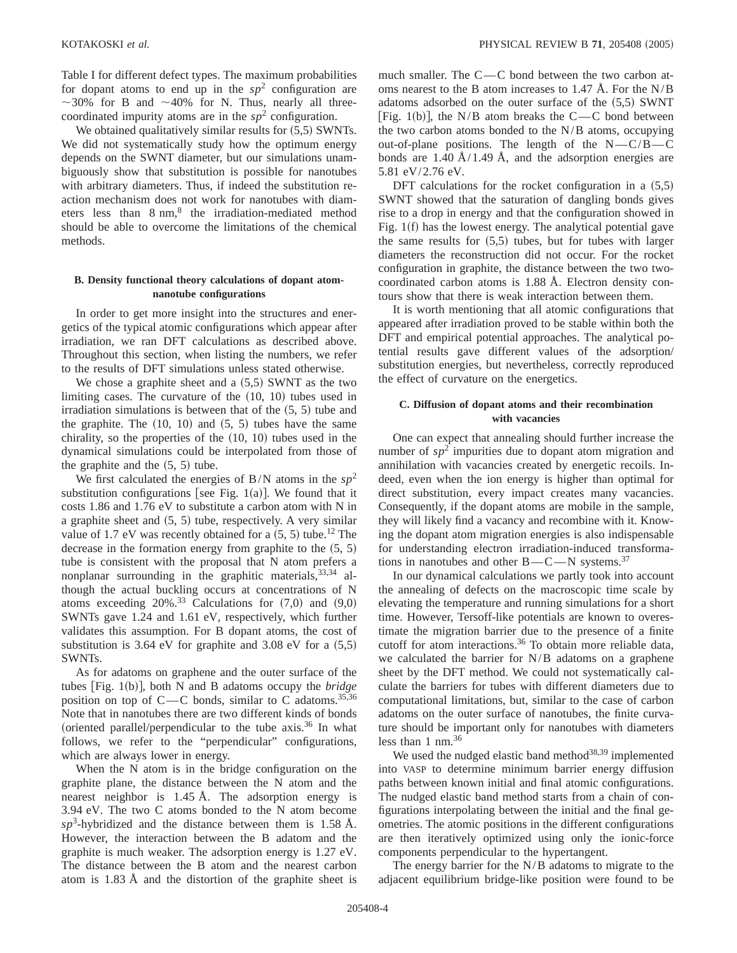Table I for different defect types. The maximum probabilities for dopant atoms to end up in the  $sp<sup>2</sup>$  configuration are  $\sim$ 30% for B and  $\sim$ 40% for N. Thus, nearly all threecoordinated impurity atoms are in the  $sp<sup>2</sup>$  configuration.

We obtained qualitatively similar results for  $(5,5)$  SWNTs. We did not systematically study how the optimum energy depends on the SWNT diameter, but our simulations unambiguously show that substitution is possible for nanotubes with arbitrary diameters. Thus, if indeed the substitution reaction mechanism does not work for nanotubes with diameters less than  $8 \text{ nm}$ , the irradiation-mediated method should be able to overcome the limitations of the chemical methods.

## **B. Density functional theory calculations of dopant atomnanotube configurations**

In order to get more insight into the structures and energetics of the typical atomic configurations which appear after irradiation, we ran DFT calculations as described above. Throughout this section, when listing the numbers, we refer to the results of DFT simulations unless stated otherwise.

We chose a graphite sheet and a  $(5,5)$  SWNT as the two limiting cases. The curvature of the  $(10, 10)$  tubes used in irradiation simulations is between that of the  $(5, 5)$  tube and the graphite. The  $(10, 10)$  and  $(5, 5)$  tubes have the same chirality, so the properties of the  $(10, 10)$  tubes used in the dynamical simulations could be interpolated from those of the graphite and the  $(5, 5)$  tube.

We first calculated the energies of  $B/N$  atoms in the  $sp^2$ substitution configurations [see Fig. 1(a)]. We found that it costs 1.86 and 1.76 eV to substitute a carbon atom with N in a graphite sheet and  $(5, 5)$  tube, respectively. A very similar value of 1.7 eV was recently obtained for a  $(5, 5)$  tube.<sup>12</sup> The decrease in the formation energy from graphite to the  $(5, 5)$ tube is consistent with the proposal that N atom prefers a nonplanar surrounding in the graphitic materials,  $33,34$  although the actual buckling occurs at concentrations of N atoms exceeding  $20\%$ .<sup>33</sup> Calculations for  $(7,0)$  and  $(9,0)$ SWNTs gave 1.24 and 1.61 eV, respectively, which further validates this assumption. For B dopant atoms, the cost of substitution is 3.64 eV for graphite and 3.08 eV for a  $(5,5)$ SWNTs.

As for adatoms on graphene and the outer surface of the tubes [Fig.  $1(b)$ ], both N and B adatoms occupy the *bridge* position on top of C- $\sim$ C bonds, similar to C adatoms.<sup>35,36</sup> Note that in nanotubes there are two different kinds of bonds (oriented parallel/perpendicular to the tube  $axis.<sup>36</sup>$  In what follows, we refer to the "perpendicular" configurations, which are always lower in energy.

When the N atom is in the bridge configuration on the graphite plane, the distance between the N atom and the nearest neighbor is 1.45 Å. The adsorption energy is 3.94 eV. The two C atoms bonded to the N atom become  $sp^3$ -hybridized and the distance between them is 1.58 Å. However, the interaction between the B adatom and the graphite is much weaker. The adsorption energy is 1.27 eV. The distance between the B atom and the nearest carbon atom is 1.83 Å and the distortion of the graphite sheet is much smaller. The  $C-C$  bond between the two carbon atoms nearest to the B atom increases to 1.47 Å. For the  $N/B$ adatoms adsorbed on the outer surface of the  $(5,5)$  SWNT [Fig. 1(b)], the N/B atom breaks the C—C bond between the two carbon atoms bonded to the  $N/B$  atoms, occupying out-of-plane positions. The length of the  $N-C/B-C$ bonds are 1.40 Å/1.49 Å, and the adsorption energies are 5.81 eV/2.76 eV.

DFT calculations for the rocket configuration in a  $(5,5)$ SWNT showed that the saturation of dangling bonds gives rise to a drop in energy and that the configuration showed in Fig.  $1(f)$  has the lowest energy. The analytical potential gave the same results for  $(5,5)$  tubes, but for tubes with larger diameters the reconstruction did not occur. For the rocket configuration in graphite, the distance between the two twocoordinated carbon atoms is 1.88 Å. Electron density contours show that there is weak interaction between them.

It is worth mentioning that all atomic configurations that appeared after irradiation proved to be stable within both the DFT and empirical potential approaches. The analytical potential results gave different values of the adsorption/ substitution energies, but nevertheless, correctly reproduced the effect of curvature on the energetics.

# **C. Diffusion of dopant atoms and their recombination with vacancies**

One can expect that annealing should further increase the number of  $sp^2$  impurities due to dopant atom migration and annihilation with vacancies created by energetic recoils. Indeed, even when the ion energy is higher than optimal for direct substitution, every impact creates many vacancies. Consequently, if the dopant atoms are mobile in the sample, they will likely find a vacancy and recombine with it. Knowing the dopant atom migration energies is also indispensable for understanding electron irradiation-induced transformations in nanotubes and other  $B - C - N$  systems.<sup>37</sup>

In our dynamical calculations we partly took into account the annealing of defects on the macroscopic time scale by elevating the temperature and running simulations for a short time. However, Tersoff-like potentials are known to overestimate the migration barrier due to the presence of a finite cutoff for atom interactions.36 To obtain more reliable data, we calculated the barrier for N/B adatoms on a graphene sheet by the DFT method. We could not systematically calculate the barriers for tubes with different diameters due to computational limitations, but, similar to the case of carbon adatoms on the outer surface of nanotubes, the finite curvature should be important only for nanotubes with diameters less than 1 nm.36

We used the nudged elastic band method $38,39$  implemented into VASP to determine minimum barrier energy diffusion paths between known initial and final atomic configurations. The nudged elastic band method starts from a chain of configurations interpolating between the initial and the final geometries. The atomic positions in the different configurations are then iteratively optimized using only the ionic-force components perpendicular to the hypertangent.

The energy barrier for the N/B adatoms to migrate to the adjacent equilibrium bridge-like position were found to be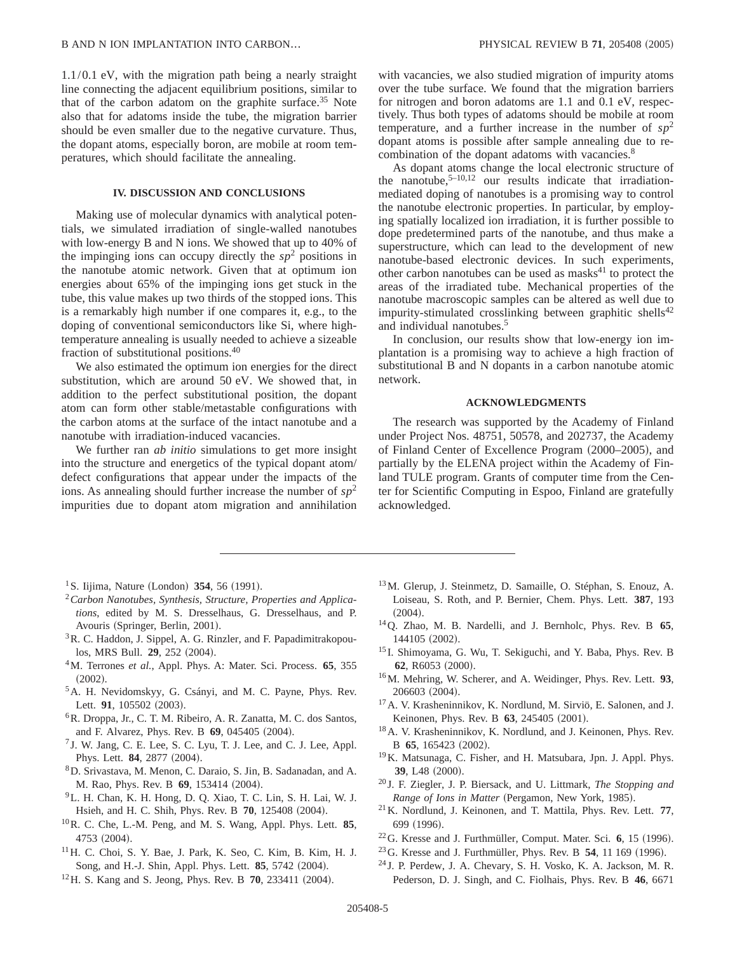1.1/0.1 eV, with the migration path being a nearly straight line connecting the adjacent equilibrium positions, similar to that of the carbon adatom on the graphite surface.<sup>35</sup> Note also that for adatoms inside the tube, the migration barrier should be even smaller due to the negative curvature. Thus, the dopant atoms, especially boron, are mobile at room temperatures, which should facilitate the annealing.

## **IV. DISCUSSION AND CONCLUSIONS**

Making use of molecular dynamics with analytical potentials, we simulated irradiation of single-walled nanotubes with low-energy B and N ions. We showed that up to 40% of the impinging ions can occupy directly the  $sp<sup>2</sup>$  positions in the nanotube atomic network. Given that at optimum ion energies about 65% of the impinging ions get stuck in the tube, this value makes up two thirds of the stopped ions. This is a remarkably high number if one compares it, e.g., to the doping of conventional semiconductors like Si, where hightemperature annealing is usually needed to achieve a sizeable fraction of substitutional positions.40

We also estimated the optimum ion energies for the direct substitution, which are around 50 eV. We showed that, in addition to the perfect substitutional position, the dopant atom can form other stable/metastable configurations with the carbon atoms at the surface of the intact nanotube and a nanotube with irradiation-induced vacancies.

We further ran *ab initio* simulations to get more insight into the structure and energetics of the typical dopant atom/ defect configurations that appear under the impacts of the ions. As annealing should further increase the number of  $sp^2$ impurities due to dopant atom migration and annihilation with vacancies, we also studied migration of impurity atoms over the tube surface. We found that the migration barriers for nitrogen and boron adatoms are 1.1 and 0.1 eV, respectively. Thus both types of adatoms should be mobile at room temperature, and a further increase in the number of  $sp^2$ dopant atoms is possible after sample annealing due to recombination of the dopant adatoms with vacancies.<sup>8</sup>

As dopant atoms change the local electronic structure of the nanotube,  $5-10,12$  our results indicate that irradiationmediated doping of nanotubes is a promising way to control the nanotube electronic properties. In particular, by employing spatially localized ion irradiation, it is further possible to dope predetermined parts of the nanotube, and thus make a superstructure, which can lead to the development of new nanotube-based electronic devices. In such experiments, other carbon nanotubes can be used as masks $41$  to protect the areas of the irradiated tube. Mechanical properties of the nanotube macroscopic samples can be altered as well due to impurity-stimulated crosslinking between graphitic shells<sup>42</sup> and individual nanotubes.<sup>5</sup>

In conclusion, our results show that low-energy ion implantation is a promising way to achieve a high fraction of substitutional B and N dopants in a carbon nanotube atomic network.

## **ACKNOWLEDGMENTS**

The research was supported by the Academy of Finland under Project Nos. 48751, 50578, and 202737, the Academy of Finland Center of Excellence Program (2000–2005), and partially by the ELENA project within the Academy of Finland TULE program. Grants of computer time from the Center for Scientific Computing in Espoo, Finland are gratefully acknowledged.

- <sup>1</sup> S. Iijima, Nature (London) **354**, 56 (1991).
- <sup>2</sup>*Carbon Nanotubes, Synthesis, Structure, Properties and Applications*, edited by M. S. Dresselhaus, G. Dresselhaus, and P. Avouris (Springer, Berlin, 2001).
- <sup>3</sup>R. C. Haddon, J. Sippel, A. G. Rinzler, and F. Papadimitrakopoulos, MRS Bull. **29**, 252 (2004).
- 4M. Terrones *et al.*, Appl. Phys. A: Mater. Sci. Process. **65**, 355  $(2002).$
- 5A. H. Nevidomskyy, G. Csányi, and M. C. Payne, Phys. Rev. Lett. 91, 105502 (2003).
- 6R. Droppa, Jr., C. T. M. Ribeiro, A. R. Zanatta, M. C. dos Santos, and F. Alvarez, Phys. Rev. B 69, 045405 (2004).
- $7$  J. W. Jang, C. E. Lee, S. C. Lyu, T. J. Lee, and C. J. Lee, Appl. Phys. Lett. **84**, 2877 (2004).
- 8D. Srivastava, M. Menon, C. Daraio, S. Jin, B. Sadanadan, and A. M. Rao, Phys. Rev. B **69**, 153414 (2004).
- 9L. H. Chan, K. H. Hong, D. Q. Xiao, T. C. Lin, S. H. Lai, W. J. Hsieh, and H. C. Shih, Phys. Rev. B 70, 125408 (2004).
- 10R. C. Che, L.-M. Peng, and M. S. Wang, Appl. Phys. Lett. **85**, 4753 (2004).
- $11$  H. C. Choi, S. Y. Bae, J. Park, K. Seo, C. Kim, B. Kim, H. J. Song, and H.-J. Shin, Appl. Phys. Lett. **85**, 5742 (2004).
- $12$  H. S. Kang and S. Jeong, Phys. Rev. B **70**, 233411 (2004).
- 13M. Glerup, J. Steinmetz, D. Samaille, O. Stéphan, S. Enouz, A. Loiseau, S. Roth, and P. Bernier, Chem. Phys. Lett. **387**, 193  $(2004).$
- 14Q. Zhao, M. B. Nardelli, and J. Bernholc, Phys. Rev. B **65**, 144105 (2002).
- <sup>15</sup> I. Shimoyama, G. Wu, T. Sekiguchi, and Y. Baba, Phys. Rev. B **62**, R6053 (2000).
- 16M. Mehring, W. Scherer, and A. Weidinger, Phys. Rev. Lett. **93**, 206603 (2004).
- 17A. V. Krasheninnikov, K. Nordlund, M. Sirviö, E. Salonen, and J. Keinonen, Phys. Rev. B **63**, 245405 (2001).
- 18A. V. Krasheninnikov, K. Nordlund, and J. Keinonen, Phys. Rev. B 65, 165423 (2002).
- 19K. Matsunaga, C. Fisher, and H. Matsubara, Jpn. J. Appl. Phys. **39**, L48 (2000).
- <sup>20</sup> J. F. Ziegler, J. P. Biersack, and U. Littmark, *The Stopping and Range of Ions in Matter* (Pergamon, New York, 1985).
- 21K. Nordlund, J. Keinonen, and T. Mattila, Phys. Rev. Lett. **77**, 699 (1996).
- <sup>22</sup>G. Kresse and J. Furthmüller, Comput. Mater. Sci. **6**, 15 (1996).
- $^{23}$ G. Kresse and J. Furthmüller, Phys. Rev. B 54, 11 169 (1996).
- <sup>24</sup> J. P. Perdew, J. A. Chevary, S. H. Vosko, K. A. Jackson, M. R. Pederson, D. J. Singh, and C. Fiolhais, Phys. Rev. B **46**, 6671